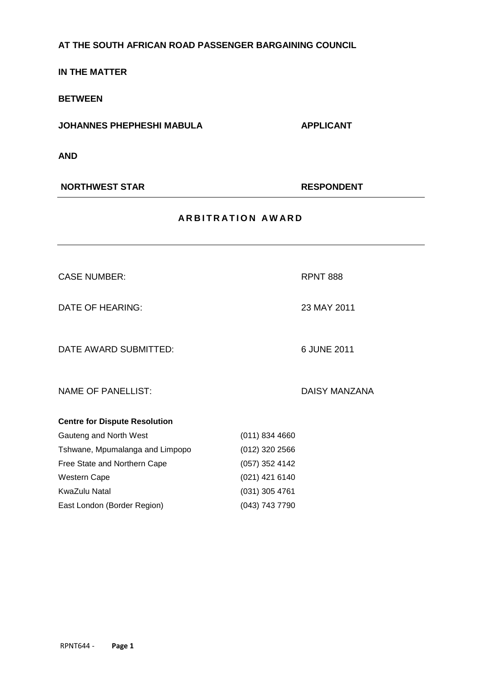# **AT THE SOUTH AFRICAN ROAD PASSENGER BARGAINING COUNCIL**

**IN THE MATTER**

**BETWEEN**

**JOHANNES PHEPHESHI MABULA APPLICANT** 

**AND**

**NORTHWEST STAR RESPONDENT** 

| <b>ARBITRATION AWARD</b>             |                  |                      |
|--------------------------------------|------------------|----------------------|
|                                      |                  |                      |
| <b>CASE NUMBER:</b>                  |                  | <b>RPNT 888</b>      |
| <b>DATE OF HEARING:</b>              |                  | 23 MAY 2011          |
| DATE AWARD SUBMITTED:                |                  | 6 JUNE 2011          |
| <b>NAME OF PANELLIST:</b>            |                  | <b>DAISY MANZANA</b> |
| <b>Centre for Dispute Resolution</b> |                  |                      |
| Gauteng and North West               | $(011)$ 834 4660 |                      |
| Tshwane, Mpumalanga and Limpopo      | $(012)$ 320 2566 |                      |
| Free State and Northern Cape         | $(057)$ 352 4142 |                      |
| Western Cape                         | (021) 421 6140   |                      |
| <b>KwaZulu Natal</b>                 | $(031)$ 305 4761 |                      |
| East London (Border Region)          | (043) 743 7790   |                      |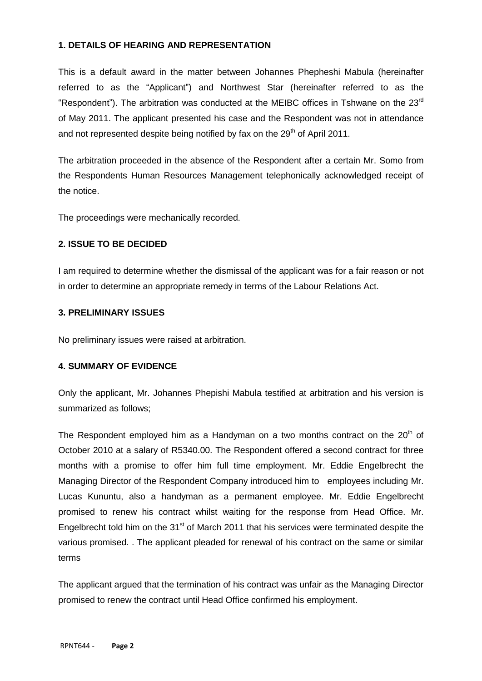### **1. DETAILS OF HEARING AND REPRESENTATION**

This is a default award in the matter between Johannes Phepheshi Mabula (hereinafter referred to as the "Applicant") and Northwest Star (hereinafter referred to as the "Respondent"). The arbitration was conducted at the MEIBC offices in Tshwane on the 23<sup>rd</sup> of May 2011. The applicant presented his case and the Respondent was not in attendance and not represented despite being notified by fax on the  $29<sup>th</sup>$  of April 2011.

The arbitration proceeded in the absence of the Respondent after a certain Mr. Somo from the Respondents Human Resources Management telephonically acknowledged receipt of the notice.

The proceedings were mechanically recorded.

### **2. ISSUE TO BE DECIDED**

I am required to determine whether the dismissal of the applicant was for a fair reason or not in order to determine an appropriate remedy in terms of the Labour Relations Act.

### **3. PRELIMINARY ISSUES**

No preliminary issues were raised at arbitration.

# **4. SUMMARY OF EVIDENCE**

Only the applicant, Mr. Johannes Phepishi Mabula testified at arbitration and his version is summarized as follows;

The Respondent employed him as a Handyman on a two months contract on the  $20<sup>th</sup>$  of October 2010 at a salary of R5340.00. The Respondent offered a second contract for three months with a promise to offer him full time employment. Mr. Eddie Engelbrecht the Managing Director of the Respondent Company introduced him to employees including Mr. Lucas Kununtu, also a handyman as a permanent employee. Mr. Eddie Engelbrecht promised to renew his contract whilst waiting for the response from Head Office. Mr. Engelbrecht told him on the 31<sup>st</sup> of March 2011 that his services were terminated despite the various promised. . The applicant pleaded for renewal of his contract on the same or similar terms

The applicant argued that the termination of his contract was unfair as the Managing Director promised to renew the contract until Head Office confirmed his employment.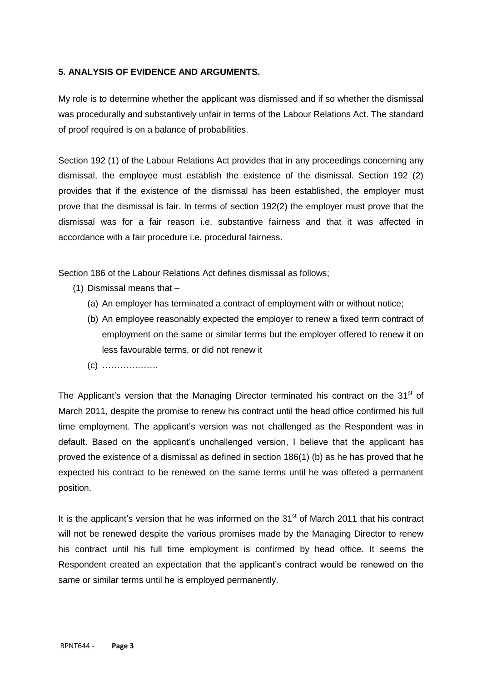### **5. ANALYSIS OF EVIDENCE AND ARGUMENTS.**

My role is to determine whether the applicant was dismissed and if so whether the dismissal was procedurally and substantively unfair in terms of the Labour Relations Act. The standard of proof required is on a balance of probabilities.

Section 192 (1) of the Labour Relations Act provides that in any proceedings concerning any dismissal, the employee must establish the existence of the dismissal. Section 192 (2) provides that if the existence of the dismissal has been established, the employer must prove that the dismissal is fair. In terms of section 192(2) the employer must prove that the dismissal was for a fair reason i.e. substantive fairness and that it was affected in accordance with a fair procedure i.e. procedural fairness.

Section 186 of the Labour Relations Act defines dismissal as follows;

- (1) Dismissal means that
	- (a) An employer has terminated a contract of employment with or without notice;
	- (b) An employee reasonably expected the employer to renew a fixed term contract of employment on the same or similar terms but the employer offered to renew it on less favourable terms, or did not renew it
	- (c) ……………….

The Applicant's version that the Managing Director terminated his contract on the  $31<sup>st</sup>$  of March 2011, despite the promise to renew his contract until the head office confirmed his full time employment. The applicant's version was not challenged as the Respondent was in default. Based on the applicant's unchallenged version, I believe that the applicant has proved the existence of a dismissal as defined in section 186(1) (b) as he has proved that he expected his contract to be renewed on the same terms until he was offered a permanent position.

It is the applicant's version that he was informed on the  $31<sup>st</sup>$  of March 2011 that his contract will not be renewed despite the various promises made by the Managing Director to renew his contract until his full time employment is confirmed by head office. It seems the Respondent created an expectation that the applicant's contract would be renewed on the same or similar terms until he is employed permanently.